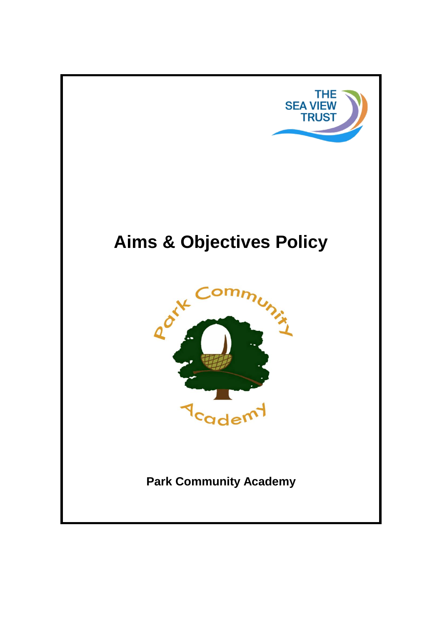

# **Aims & Objectives Policy**



**Park Community Academy**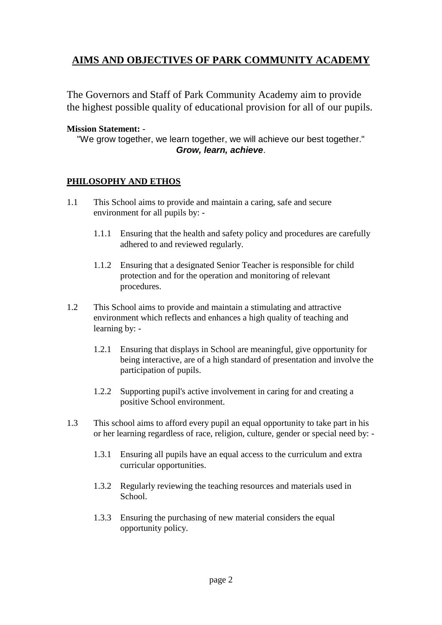# **AIMS AND OBJECTIVES OF PARK COMMUNITY ACADEMY**

The Governors and Staff of Park Community Academy aim to provide the highest possible quality of educational provision for all of our pupils.

#### **Mission Statement:** -

"We grow together, we learn together, we will achieve our best together." *Grow, learn, achieve*.

#### **PHILOSOPHY AND ETHOS**

- 1.1 This School aims to provide and maintain a caring, safe and secure environment for all pupils by: -
	- 1.1.1 Ensuring that the health and safety policy and procedures are carefully adhered to and reviewed regularly.
	- 1.1.2 Ensuring that a designated Senior Teacher is responsible for child protection and for the operation and monitoring of relevant procedures.
- 1.2 This School aims to provide and maintain a stimulating and attractive environment which reflects and enhances a high quality of teaching and learning by: -
	- 1.2.1 Ensuring that displays in School are meaningful, give opportunity for being interactive, are of a high standard of presentation and involve the participation of pupils.
	- 1.2.2 Supporting pupil's active involvement in caring for and creating a positive School environment.
- 1.3 This school aims to afford every pupil an equal opportunity to take part in his or her learning regardless of race, religion, culture, gender or special need by: -
	- 1.3.1 Ensuring all pupils have an equal access to the curriculum and extra curricular opportunities.
	- 1.3.2 Regularly reviewing the teaching resources and materials used in School.
	- 1.3.3 Ensuring the purchasing of new material considers the equal opportunity policy.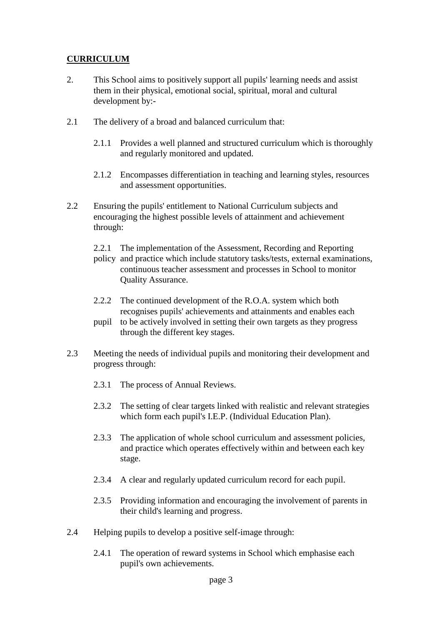## **CURRICULUM**

- 2. This School aims to positively support all pupils' learning needs and assist them in their physical, emotional social, spiritual, moral and cultural development by:-
- 2.1 The delivery of a broad and balanced curriculum that:
	- 2.1.1 Provides a well planned and structured curriculum which is thoroughly and regularly monitored and updated.
	- 2.1.2 Encompasses differentiation in teaching and learning styles, resources and assessment opportunities.
- 2.2 Ensuring the pupils' entitlement to National Curriculum subjects and encouraging the highest possible levels of attainment and achievement through:
	- 2.2.1 The implementation of the Assessment, Recording and Reporting
	- policy and practice which include statutory tasks/tests, external examinations, continuous teacher assessment and processes in School to monitor Quality Assurance.
	- 2.2.2 The continued development of the R.O.A. system which both recognises pupils' achievements and attainments and enables each
	- pupil to be actively involved in setting their own targets as they progress through the different key stages.
- 2.3 Meeting the needs of individual pupils and monitoring their development and progress through:
	- 2.3.1 The process of Annual Reviews.
	- 2.3.2 The setting of clear targets linked with realistic and relevant strategies which form each pupil's I.E.P. (Individual Education Plan).
	- 2.3.3 The application of whole school curriculum and assessment policies, and practice which operates effectively within and between each key stage.
	- 2.3.4 A clear and regularly updated curriculum record for each pupil.
	- 2.3.5 Providing information and encouraging the involvement of parents in their child's learning and progress.
- 2.4 Helping pupils to develop a positive self-image through:
	- 2.4.1 The operation of reward systems in School which emphasise each pupil's own achievements.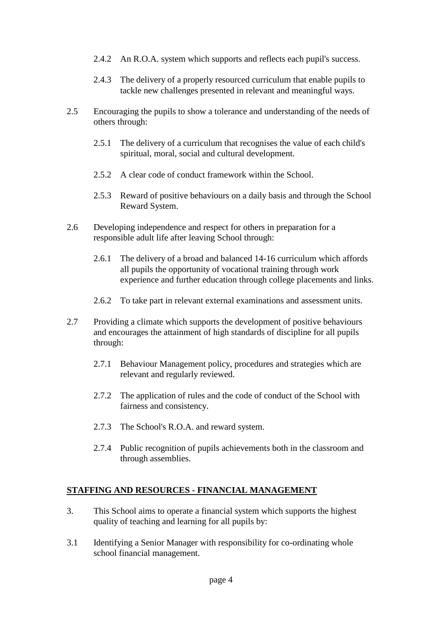- 2.4.2 An R.O.A. system which supports and reflects each pupil's success.
- 2.4.3 The delivery of a properly resourced curriculum that enable pupils to tackle new challenges presented in relevant and meaningful ways.
- 2.5 Encouraging the pupils to show a tolerance and understanding of the needs of others through:
	- 2.5.1 The delivery of a curriculum that recognises the value of each child's spiritual, moral, social and cultural development.
	- 2.5.2 A clear code of conduct framework within the School.
	- 2.5.3 Reward of positive behaviours on a daily basis and through the School Reward System.
- 2.6 Developing independence and respect for others in preparation for a responsible adult life after leaving School through:
	- 2.6.1 The delivery of a broad and balanced 14-16 curriculum which affords all pupils the opportunity of vocational training through work experience and further education through college placements and links.
	- 2.6.2 To take part in relevant external examinations and assessment units.
- 2.7 Providing a climate which supports the development of positive behaviours and encourages the attainment of high standards of discipline for all pupils through:
	- 2.7.1 Behaviour Management policy, procedures and strategies which are relevant and regularly reviewed.
	- 2.7.2 The application of rules and the code of conduct of the School with fairness and consistency.
	- 2.7.3 The School's R.O.A. and reward system.
	- 2.7.4 Public recognition of pupils achievements both in the classroom and through assemblies.

### **STAFFING AND RESOURCES - FINANCIAL MANAGEMENT**

- 3. This School aims to operate a financial system which supports the highest quality of teaching and learning for all pupils by:
- 3.1 Identifying a Senior Manager with responsibility for co-ordinating whole school financial management.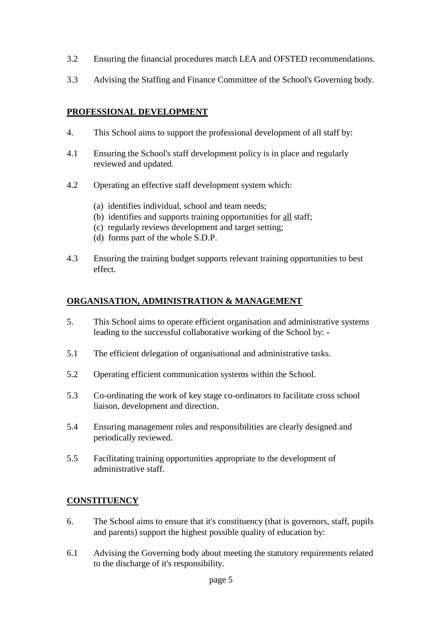- 3.2 Ensuring the financial procedures match LEA and OFSTED recommendations.
- 3.3 Advising the Staffing and Finance Committee of the School's Governing body.

### **PROFESSIONAL DEVELOPMENT**

- 4. This School aims to support the professional development of all staff by:
- 4.1 Ensuring the School's staff development policy is in place and regularly reviewed and updated.
- 4.2 Operating an effective staff development system which:
	- (a) identifies individual, school and team needs;
	- (b) identifies and supports training opportunities for all staff;
	- (c) regularly reviews development and target setting;
	- (d) forms part of the whole S.D.P.
- 4.3 Ensuring the training budget supports relevant training opportunities to best effect.

### **ORGANISATION, ADMINISTRATION & MANAGEMENT**

- 5. This School aims to operate efficient organisation and administrative systems leading to the successful collaborative working of the School by: -
- 5.1 The efficient delegation of organisational and administrative tasks.
- 5.2 Operating efficient communication systems within the School.
- 5.3 Co-ordinating the work of key stage co-ordinators to facilitate cross school liaison, development and direction.
- 5.4 Ensuring management roles and responsibilities are clearly designed and periodically reviewed.
- 5.5 Facilitating training opportunities appropriate to the development of administrative staff.

### **CONSTITUENCY**

- 6. The School aims to ensure that it's constituency (that is governors, staff, pupils and parents) support the highest possible quality of education by:
- 6.1 Advising the Governing body about meeting the statutory requirements related to the discharge of it's responsibility.